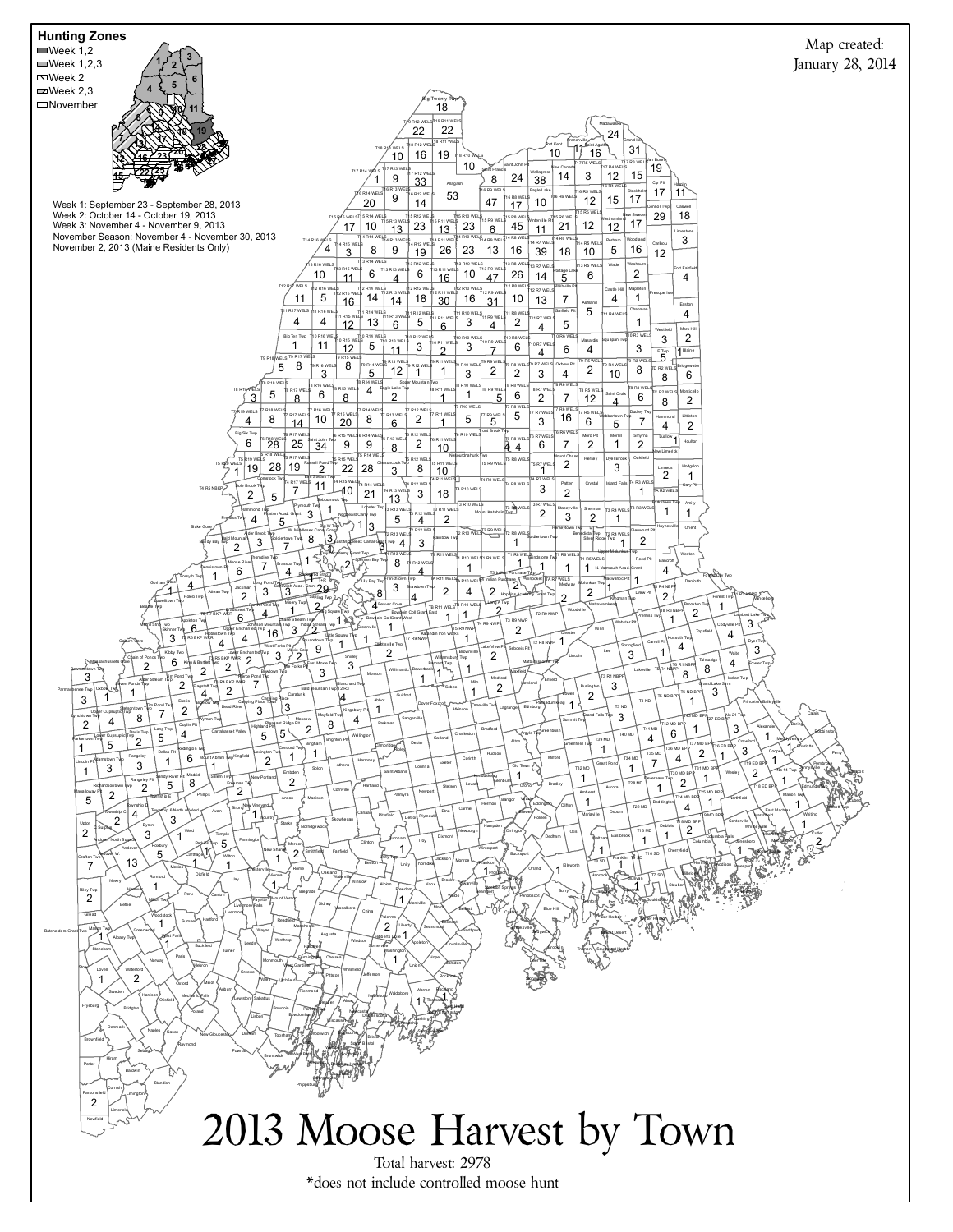